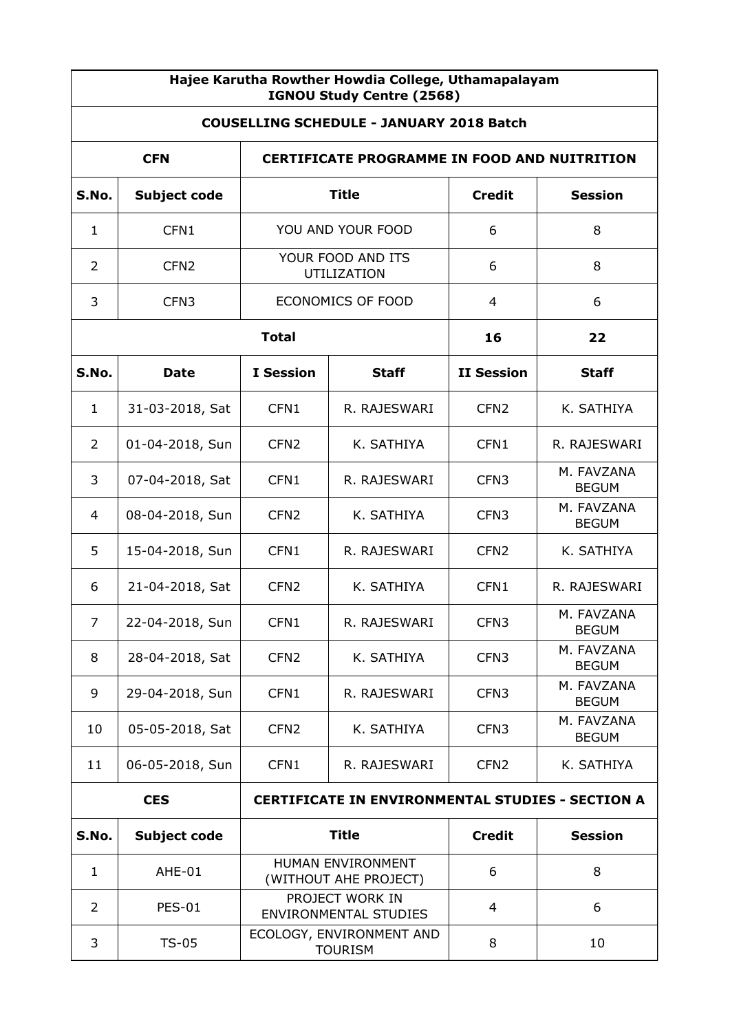| Hajee Karutha Rowther Howdia College, Uthamapalayam<br>IGNOU Study Centre (2568) |                                                                   |                                                 |              |                   |                            |  |  |
|----------------------------------------------------------------------------------|-------------------------------------------------------------------|-------------------------------------------------|--------------|-------------------|----------------------------|--|--|
| <b>COUSELLING SCHEDULE - JANUARY 2018 Batch</b>                                  |                                                                   |                                                 |              |                   |                            |  |  |
|                                                                                  | <b>CFN</b><br><b>CERTIFICATE PROGRAMME IN FOOD AND NUITRITION</b> |                                                 |              |                   |                            |  |  |
| S.No.                                                                            | <b>Subject code</b>                                               | <b>Title</b>                                    |              | <b>Credit</b>     | <b>Session</b>             |  |  |
| $\mathbf{1}$                                                                     | CFN1                                                              | YOU AND YOUR FOOD                               |              | 6                 | 8                          |  |  |
| 2                                                                                | CFN <sub>2</sub>                                                  | YOUR FOOD AND ITS<br>UTILIZATION                |              | 6                 | 8                          |  |  |
| 3                                                                                | CFN <sub>3</sub>                                                  | ECONOMICS OF FOOD                               |              | 4                 | 6                          |  |  |
| <b>Total</b>                                                                     |                                                                   |                                                 | 16           | 22                |                            |  |  |
| S.No.                                                                            | <b>Date</b>                                                       | <b>I</b> Session                                | <b>Staff</b> | <b>II Session</b> | <b>Staff</b>               |  |  |
| $\mathbf{1}$                                                                     | 31-03-2018, Sat                                                   | CFN1                                            | R. RAJESWARI | CFN <sub>2</sub>  | K. SATHIYA                 |  |  |
| $\overline{2}$                                                                   | 01-04-2018, Sun                                                   | CFN <sub>2</sub>                                | K. SATHIYA   | CFN1              | R. RAJESWARI               |  |  |
| 3                                                                                | 07-04-2018, Sat                                                   | CFN1                                            | R. RAJESWARI | CFN <sub>3</sub>  | M. FAVZANA<br><b>BEGUM</b> |  |  |
| 4                                                                                | 08-04-2018, Sun                                                   | CFN <sub>2</sub>                                | K. SATHIYA   | CFN <sub>3</sub>  | M. FAVZANA<br><b>BEGUM</b> |  |  |
| 5                                                                                | 15-04-2018, Sun                                                   | CFN1                                            | R. RAJESWARI | CFN <sub>2</sub>  | K. SATHIYA                 |  |  |
| 6                                                                                | 21-04-2018, Sat                                                   | CFN <sub>2</sub>                                | K. SATHIYA   | CFN1              | R. RAJESWARI               |  |  |
| $\overline{7}$                                                                   | 22-04-2018, Sun                                                   | CFN1                                            | R. RAJESWARI | CFN <sub>3</sub>  | M. FAVZANA<br><b>BEGUM</b> |  |  |
| 8                                                                                | 28-04-2018, Sat                                                   | CFN <sub>2</sub>                                | K. SATHIYA   | CFN <sub>3</sub>  | M. FAVZANA<br><b>BEGUM</b> |  |  |
| 9                                                                                | 29-04-2018, Sun                                                   | CFN1                                            | R. RAJESWARI | CFN <sub>3</sub>  | M. FAVZANA<br><b>BEGUM</b> |  |  |
| 10                                                                               | 05-05-2018, Sat                                                   | CFN <sub>2</sub>                                | K. SATHIYA   | CFN <sub>3</sub>  | M. FAVZANA<br><b>BEGUM</b> |  |  |
| 11                                                                               | 06-05-2018, Sun                                                   | CFN1                                            | R. RAJESWARI | CFN <sub>2</sub>  | K. SATHIYA                 |  |  |
| <b>CES</b><br><b>CERTIFICATE IN ENVIRONMENTAL STUDIES - SECTION A</b>            |                                                                   |                                                 |              |                   |                            |  |  |
| S.No.                                                                            | <b>Subject code</b>                                               | <b>Title</b>                                    |              | <b>Credit</b>     | <b>Session</b>             |  |  |
| $\mathbf{1}$                                                                     | AHE-01                                                            | HUMAN ENVIRONMENT<br>(WITHOUT AHE PROJECT)      |              | 6                 | 8                          |  |  |
| $\overline{2}$                                                                   | <b>PES-01</b>                                                     | PROJECT WORK IN<br><b>ENVIRONMENTAL STUDIES</b> |              | $\overline{4}$    | 6                          |  |  |
| 3                                                                                | $TS-05$                                                           | ECOLOGY, ENVIRONMENT AND<br><b>TOURISM</b>      |              | 8                 | 10                         |  |  |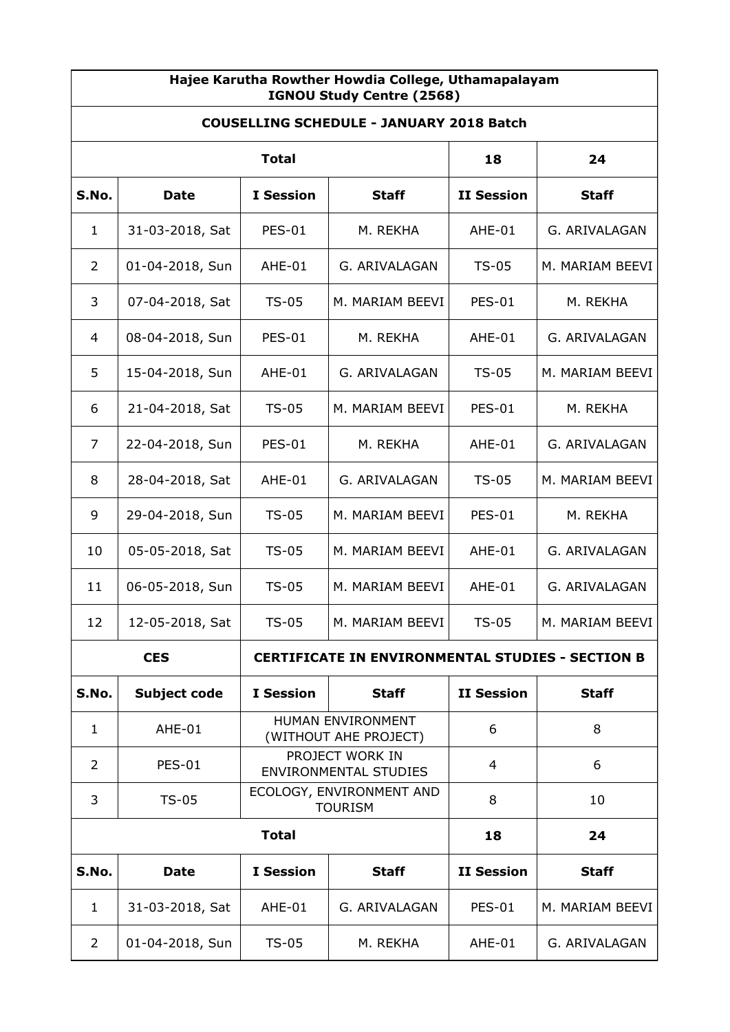| Hajee Karutha Rowther Howdia College, Uthamapalayam<br>IGNOU Study Centre (2568) |                                                                       |                                                 |                 |                   |                 |  |
|----------------------------------------------------------------------------------|-----------------------------------------------------------------------|-------------------------------------------------|-----------------|-------------------|-----------------|--|
| <b>COUSELLING SCHEDULE - JANUARY 2018 Batch</b>                                  |                                                                       |                                                 |                 |                   |                 |  |
| <b>Total</b>                                                                     |                                                                       |                                                 |                 | 18                | 24              |  |
| S.No.                                                                            | <b>Date</b>                                                           | <b>I</b> Session                                | <b>Staff</b>    | <b>II Session</b> | <b>Staff</b>    |  |
| $\mathbf{1}$                                                                     | 31-03-2018, Sat                                                       | <b>PES-01</b>                                   | M. REKHA        | AHE-01            | G. ARIVALAGAN   |  |
| 2                                                                                | 01-04-2018, Sun                                                       | AHE-01                                          | G. ARIVALAGAN   | $TS-05$           | M. MARIAM BEEVI |  |
| 3                                                                                | 07-04-2018, Sat                                                       | $TS-05$                                         | M. MARIAM BEEVI | <b>PES-01</b>     | M. REKHA        |  |
| 4                                                                                | 08-04-2018, Sun                                                       | <b>PES-01</b>                                   | M. REKHA        | AHE-01            | G. ARIVALAGAN   |  |
| 5                                                                                | 15-04-2018, Sun                                                       | AHE-01                                          | G. ARIVALAGAN   | $TS-05$           | M. MARIAM BEEVI |  |
| 6                                                                                | 21-04-2018, Sat                                                       | $TS-05$                                         | M. MARIAM BEEVI | <b>PES-01</b>     | M. REKHA        |  |
| $\overline{7}$                                                                   | 22-04-2018, Sun                                                       | <b>PES-01</b>                                   | M. REKHA        | AHE-01            | G. ARIVALAGAN   |  |
| 8                                                                                | 28-04-2018, Sat                                                       | AHE-01                                          | G. ARIVALAGAN   | $TS-05$           | M. MARIAM BEEVI |  |
| 9                                                                                | 29-04-2018, Sun                                                       | $TS-05$                                         | M. MARIAM BEEVI | <b>PES-01</b>     | M. REKHA        |  |
| 10                                                                               | 05-05-2018, Sat                                                       | $TS-05$                                         | M. MARIAM BEEVI | AHE-01            | G. ARIVALAGAN   |  |
| 11                                                                               | 06-05-2018, Sun                                                       | $TS-05$                                         | M. MARIAM BEEVI | AHE-01            | G. ARIVALAGAN   |  |
| 12                                                                               | 12-05-2018, Sat                                                       | TS-05                                           | M. MARIAM BEEVI | TS-05             | M. MARIAM BEEVI |  |
|                                                                                  | <b>CES</b><br><b>CERTIFICATE IN ENVIRONMENTAL STUDIES - SECTION B</b> |                                                 |                 |                   |                 |  |
| S.No.                                                                            | Subject code                                                          | <b>I</b> Session                                | <b>Staff</b>    | <b>II Session</b> | <b>Staff</b>    |  |
| $\mathbf{1}$                                                                     | AHE-01                                                                | HUMAN ENVIRONMENT<br>(WITHOUT AHE PROJECT)      |                 | 6                 | 8               |  |
| $\overline{2}$                                                                   | <b>PES-01</b>                                                         | PROJECT WORK IN<br><b>ENVIRONMENTAL STUDIES</b> |                 | 4                 | 6               |  |
| 3                                                                                | $TS-05$                                                               | ECOLOGY, ENVIRONMENT AND<br><b>TOURISM</b>      |                 | 8                 | 10              |  |
| <b>Total</b>                                                                     |                                                                       |                                                 | 18              | 24                |                 |  |
| S.No.                                                                            | <b>Date</b>                                                           | <b>I</b> Session                                | <b>Staff</b>    | <b>II Session</b> | <b>Staff</b>    |  |
| $\mathbf{1}$                                                                     | 31-03-2018, Sat                                                       | AHE-01                                          | G. ARIVALAGAN   | <b>PES-01</b>     | M. MARIAM BEEVI |  |
| 2                                                                                | 01-04-2018, Sun                                                       | <b>TS-05</b>                                    | M. REKHA        | AHE-01            | G. ARIVALAGAN   |  |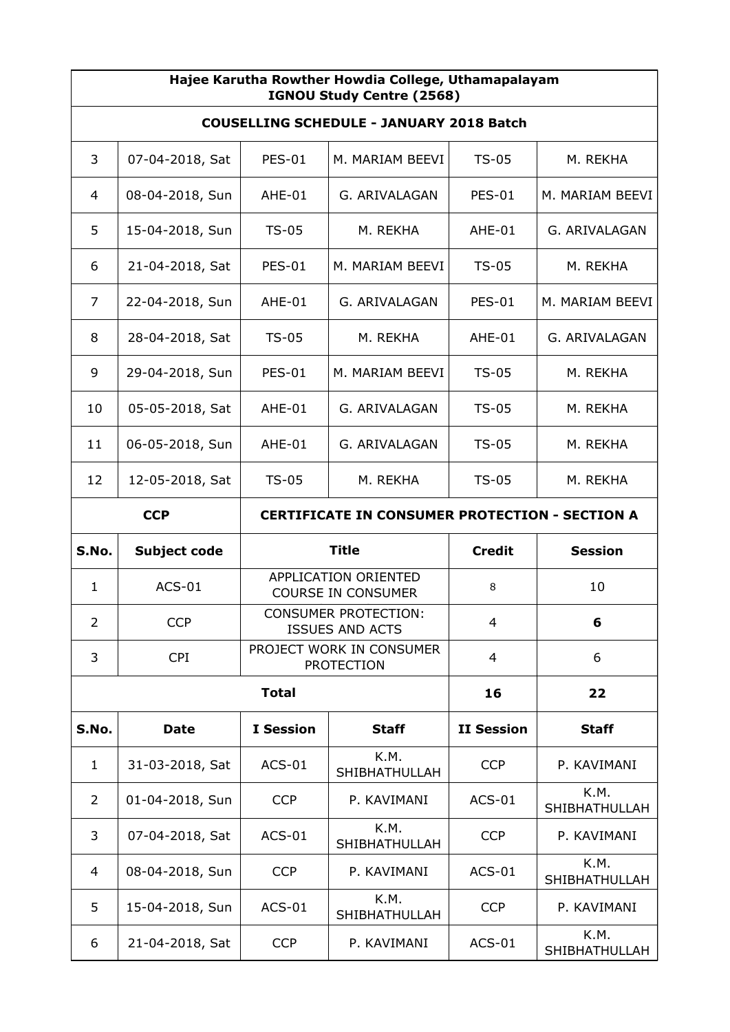| Hajee Karutha Rowther Howdia College, Uthamapalayam<br>IGNOU Study Centre (2568) |                                                                     |                                                   |                       |                   |                       |  |
|----------------------------------------------------------------------------------|---------------------------------------------------------------------|---------------------------------------------------|-----------------------|-------------------|-----------------------|--|
| <b>COUSELLING SCHEDULE - JANUARY 2018 Batch</b>                                  |                                                                     |                                                   |                       |                   |                       |  |
| 3                                                                                | 07-04-2018, Sat                                                     | <b>PES-01</b>                                     | M. MARIAM BEEVI       | $TS-05$           | M. REKHA              |  |
| 4                                                                                | 08-04-2018, Sun                                                     | AHE-01                                            | G. ARIVALAGAN         | <b>PES-01</b>     | M. MARIAM BEEVI       |  |
| 5                                                                                | 15-04-2018, Sun                                                     | $TS-05$                                           | M. REKHA              | AHE-01            | G. ARIVALAGAN         |  |
| 6                                                                                | 21-04-2018, Sat                                                     | <b>PES-01</b>                                     | M. MARIAM BEEVI       | $TS-05$           | M. REKHA              |  |
| 7                                                                                | 22-04-2018, Sun                                                     | AHE-01                                            | G. ARIVALAGAN         | <b>PES-01</b>     | M. MARIAM BEEVI       |  |
| 8                                                                                | 28-04-2018, Sat                                                     | $TS-05$                                           | M. REKHA              | AHE-01            | G. ARIVALAGAN         |  |
| 9                                                                                | 29-04-2018, Sun                                                     | <b>PES-01</b>                                     | M. MARIAM BEEVI       | $TS-05$           | M. REKHA              |  |
| 10                                                                               | 05-05-2018, Sat                                                     | AHE-01                                            | G. ARIVALAGAN         | $TS-05$           | M. REKHA              |  |
| 11                                                                               | 06-05-2018, Sun                                                     | AHE-01                                            | G. ARIVALAGAN         | $TS-05$           | M. REKHA              |  |
| 12                                                                               | 12-05-2018, Sat                                                     | $TS-05$                                           | M. REKHA              | $TS-05$           | M. REKHA              |  |
|                                                                                  | <b>CCP</b><br><b>CERTIFICATE IN CONSUMER PROTECTION - SECTION A</b> |                                                   |                       |                   |                       |  |
| S.No.                                                                            | <b>Subject code</b>                                                 |                                                   | <b>Title</b>          | <b>Credit</b>     | <b>Session</b>        |  |
| $\mathbf{1}$                                                                     | $ACS-01$                                                            | APPLICATION ORIENTED<br><b>COURSE IN CONSUMER</b> |                       | 8                 | 10                    |  |
| $\overline{2}$                                                                   | <b>CCP</b>                                                          | CONSUMER PROTECTION:<br><b>ISSUES AND ACTS</b>    |                       | 4                 | 6                     |  |
| 3                                                                                | <b>CPI</b>                                                          | PROJECT WORK IN CONSUMER<br><b>PROTECTION</b>     |                       | $\overline{4}$    | 6                     |  |
|                                                                                  | <b>Total</b>                                                        |                                                   |                       | 16                | 22                    |  |
| S.No.                                                                            | <b>Date</b>                                                         | <b>I</b> Session                                  | <b>Staff</b>          | <b>II Session</b> | <b>Staff</b>          |  |
| $\mathbf{1}$                                                                     | 31-03-2018, Sat                                                     | $ACS-01$                                          | K.M.<br>SHIBHATHULLAH | <b>CCP</b>        | P. KAVIMANI           |  |
| 2                                                                                | 01-04-2018, Sun                                                     | <b>CCP</b>                                        | P. KAVIMANI           | $ACS-01$          | K.M.<br>SHIBHATHULLAH |  |
| 3                                                                                | 07-04-2018, Sat                                                     | $ACS-01$                                          | K.M.<br>SHIBHATHULLAH | <b>CCP</b>        | P. KAVIMANI           |  |
| 4                                                                                | 08-04-2018, Sun                                                     | <b>CCP</b>                                        | P. KAVIMANI           | $ACS-01$          | K.M.<br>SHIBHATHULLAH |  |
| 5                                                                                | 15-04-2018, Sun                                                     | $ACS-01$                                          | K.M.<br>SHIBHATHULLAH | <b>CCP</b>        | P. KAVIMANI           |  |
| 6                                                                                | 21-04-2018, Sat                                                     | <b>CCP</b>                                        | P. KAVIMANI           | $ACS-01$          | K.M.<br>SHIBHATHULLAH |  |